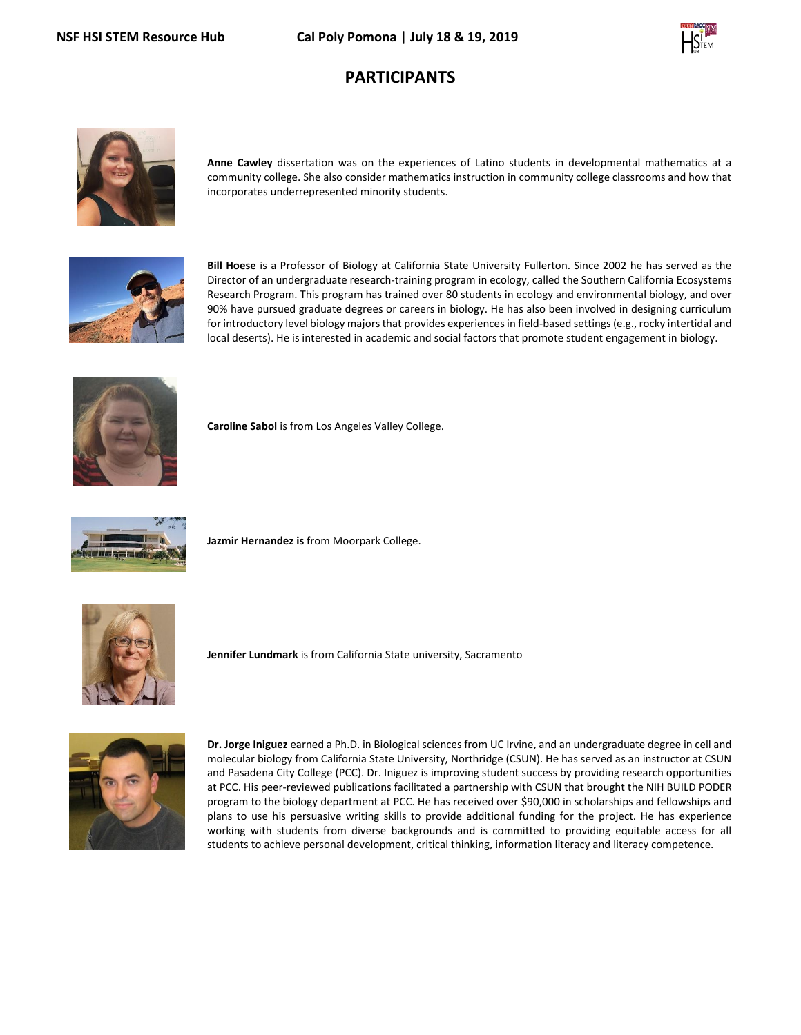

## **PARTICIPANTS**



**Anne Cawley** dissertation was on the experiences of Latino students in developmental mathematics at a community college. She also consider mathematics instruction in community college classrooms and how that incorporates underrepresented minority students.



**Bill Hoese** is a Professor of Biology at California State University Fullerton. Since 2002 he has served as the Director of an undergraduate research-training program in ecology, called the Southern California Ecosystems Research Program. This program has trained over 80 students in ecology and environmental biology, and over 90% have pursued graduate degrees or careers in biology. He has also been involved in designing curriculum for introductory level biology majors that provides experiences in field-based settings (e.g., rocky intertidal and local deserts). He is interested in academic and social factors that promote student engagement in biology.



**Caroline Sabol** is from Los Angeles Valley College.



**Jazmir Hernandez is** from Moorpark College.



**Jennifer Lundmark** is from California State university, Sacramento



**Dr. Jorge Iniguez** earned a Ph.D. in Biological sciences from UC Irvine, and an undergraduate degree in cell and molecular biology from California State University, Northridge (CSUN). He has served as an instructor at CSUN and Pasadena City College (PCC). Dr. Iniguez is improving student success by providing research opportunities at PCC. His peer-reviewed publications facilitated a partnership with CSUN that brought the NIH BUILD PODER program to the biology department at PCC. He has received over \$90,000 in scholarships and fellowships and plans to use his persuasive writing skills to provide additional funding for the project. He has experience working with students from diverse backgrounds and is committed to providing equitable access for all students to achieve personal development, critical thinking, information literacy and literacy competence.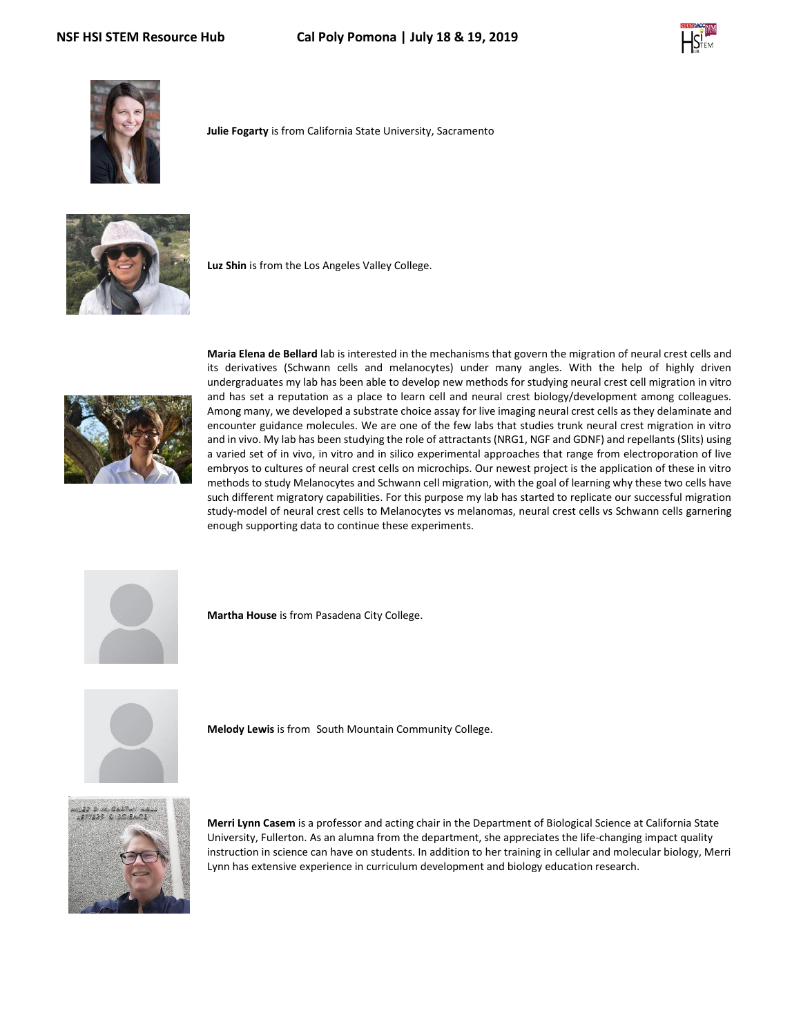



**Julie Fogarty** is from California State University, Sacramento



**Luz Shin** is from the Los Angeles Valley College.



**Maria Elena de Bellard** lab is interested in the mechanisms that govern the migration of neural crest cells and its derivatives (Schwann cells and melanocytes) under many angles. With the help of highly driven undergraduates my lab has been able to develop new methods for studying neural crest cell migration in vitro and has set a reputation as a place to learn cell and neural crest biology/development among colleagues. Among many, we developed a substrate choice assay for live imaging neural crest cells as they delaminate and encounter guidance molecules. We are one of the few labs that studies trunk neural crest migration in vitro and in vivo. My lab has been studying the role of attractants (NRG1, NGF and GDNF) and repellants (Slits) using a varied set of in vivo, in vitro and in silico experimental approaches that range from electroporation of live embryos to cultures of neural crest cells on microchips. Our newest project is the application of these in vitro methods to study Melanocytes and Schwann cell migration, with the goal of learning why these two cells have such different migratory capabilities. For this purpose my lab has started to replicate our successful migration study-model of neural crest cells to Melanocytes vs melanomas, neural crest cells vs Schwann cells garnering enough supporting data to continue these experiments.



**Martha House** is from Pasadena City College.



**Melody Lewis** is from South Mountain Community College.



**Merri Lynn Casem** is a professor and acting chair in the Department of Biological Science at California State University, Fullerton. As an alumna from the department, she appreciates the life-changing impact quality instruction in science can have on students. In addition to her training in cellular and molecular biology, Merri Lynn has extensive experience in curriculum development and biology education research.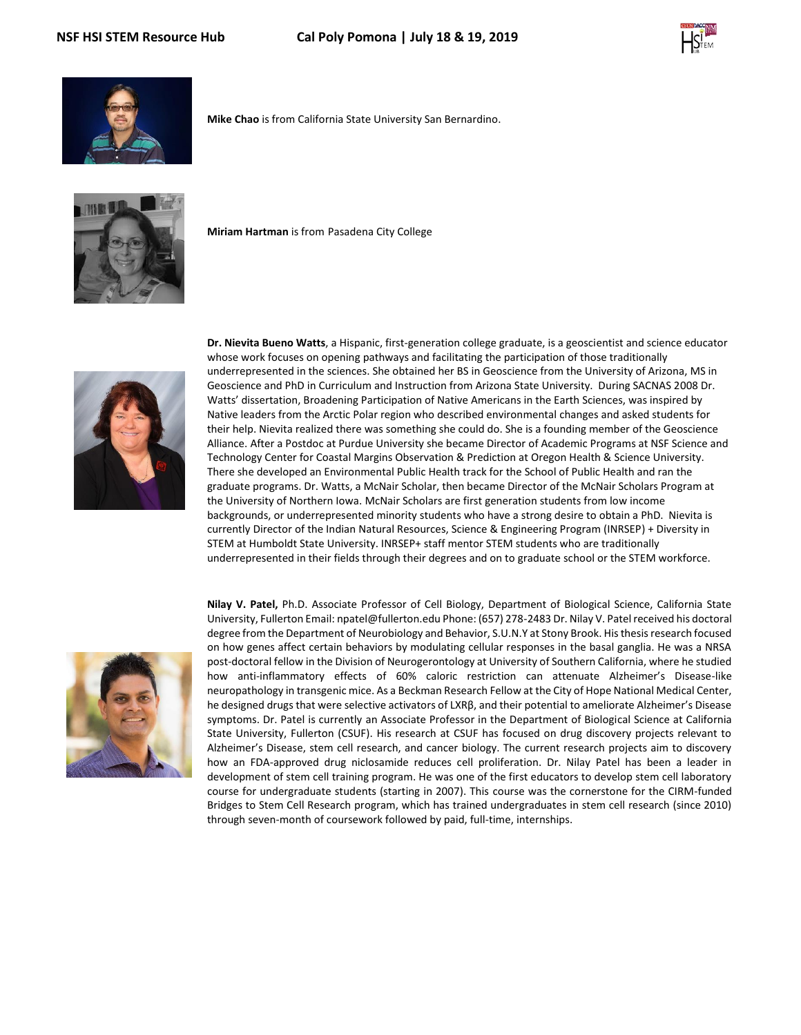



**Mike Chao** is from California State University San Bernardino.



**Miriam Hartman** is from Pasadena City College



**Dr. Nievita Bueno Watts**, a Hispanic, first-generation college graduate, is a geoscientist and science educator whose work focuses on opening pathways and facilitating the participation of those traditionally underrepresented in the sciences. She obtained her BS in Geoscience from the University of Arizona, MS in Geoscience and PhD in Curriculum and Instruction from Arizona State University. During SACNAS 2008 Dr. Watts' dissertation, Broadening Participation of Native Americans in the Earth Sciences, was inspired by Native leaders from the Arctic Polar region who described environmental changes and asked students for their help. Nievita realized there was something she could do. She is a founding member of the Geoscience Alliance. After a Postdoc at Purdue University she became Director of Academic Programs at NSF Science and Technology Center for Coastal Margins Observation & Prediction at Oregon Health & Science University. There she developed an Environmental Public Health track for the School of Public Health and ran the graduate programs. Dr. Watts, a McNair Scholar, then became Director of the McNair Scholars Program at the University of Northern Iowa. McNair Scholars are first generation students from low income backgrounds, or underrepresented minority students who have a strong desire to obtain a PhD. Nievita is currently Director of the Indian Natural Resources, Science & Engineering Program (INRSEP) + Diversity in STEM at Humboldt State University. INRSEP+ staff mentor STEM students who are traditionally underrepresented in their fields through their degrees and on to graduate school or the STEM workforce.



**Nilay V. Patel,** Ph.D. Associate Professor of Cell Biology, Department of Biological Science, California State University, Fullerton Email: npatel@fullerton.edu Phone: (657) 278-2483 Dr. Nilay V. Patel received his doctoral degree from the Department of Neurobiology and Behavior, S.U.N.Y at Stony Brook. His thesis research focused on how genes affect certain behaviors by modulating cellular responses in the basal ganglia. He was a NRSA post-doctoral fellow in the Division of Neurogerontology at University of Southern California, where he studied how anti-inflammatory effects of 60% caloric restriction can attenuate Alzheimer's Disease-like neuropathology in transgenic mice. As a Beckman Research Fellow at the City of Hope National Medical Center, he designed drugs that were selective activators of LXRβ, and their potential to ameliorate Alzheimer's Disease symptoms. Dr. Patel is currently an Associate Professor in the Department of Biological Science at California State University, Fullerton (CSUF). His research at CSUF has focused on drug discovery projects relevant to Alzheimer's Disease, stem cell research, and cancer biology. The current research projects aim to discovery how an FDA-approved drug niclosamide reduces cell proliferation. Dr. Nilay Patel has been a leader in development of stem cell training program. He was one of the first educators to develop stem cell laboratory course for undergraduate students (starting in 2007). This course was the cornerstone for the CIRM-funded Bridges to Stem Cell Research program, which has trained undergraduates in stem cell research (since 2010) through seven-month of coursework followed by paid, full-time, internships.